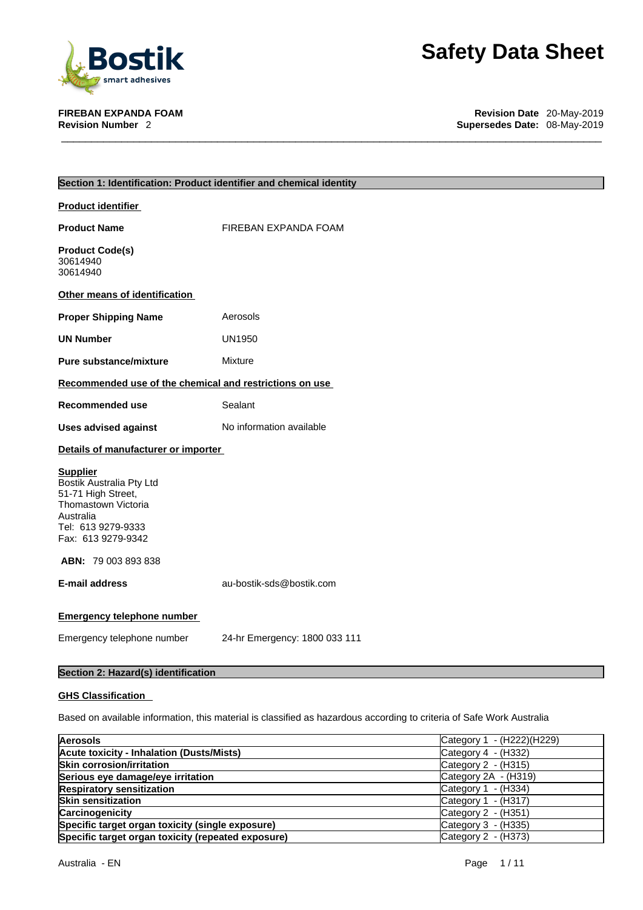

**FIREBAN EXPANDA FOAM Revision Date** 20-May-2019 **Supersedes Date: 08-May-2019** 

| Section 1: Identification: Product identifier and chemical identity                                                                               |                               |  |  |
|---------------------------------------------------------------------------------------------------------------------------------------------------|-------------------------------|--|--|
| <b>Product identifier</b>                                                                                                                         |                               |  |  |
| <b>Product Name</b>                                                                                                                               | FIREBAN EXPANDA FOAM          |  |  |
| <b>Product Code(s)</b><br>30614940<br>30614940                                                                                                    |                               |  |  |
| Other means of identification                                                                                                                     |                               |  |  |
| <b>Proper Shipping Name</b>                                                                                                                       | Aerosols                      |  |  |
| <b>UN Number</b>                                                                                                                                  | <b>UN1950</b>                 |  |  |
| Pure substance/mixture                                                                                                                            | <b>Mixture</b>                |  |  |
| Recommended use of the chemical and restrictions on use                                                                                           |                               |  |  |
| Recommended use                                                                                                                                   | Sealant                       |  |  |
| <b>Uses advised against</b>                                                                                                                       | No information available      |  |  |
| Details of manufacturer or importer                                                                                                               |                               |  |  |
| <b>Supplier</b><br>Bostik Australia Pty Ltd<br>51-71 High Street,<br>Thomastown Victoria<br>Australia<br>Tel: 613 9279-9333<br>Fax: 613 9279-9342 |                               |  |  |
| ABN: 79 003 893 838                                                                                                                               |                               |  |  |
| <b>E-mail address</b>                                                                                                                             | au-bostik-sds@bostik.com      |  |  |
| <b>Emergency telephone number</b>                                                                                                                 |                               |  |  |
| Emergency telephone number                                                                                                                        | 24-hr Emergency: 1800 033 111 |  |  |

# **Section 2: Hazard(s) identification**

## **GHS Classification**

Based on available information, this material is classified as hazardous according to criteria of Safe Work Australia

| <b>Aerosols</b>                                    | Category 1 - (H222)(H229) |
|----------------------------------------------------|---------------------------|
| <b>Acute toxicity - Inhalation (Dusts/Mists)</b>   | Category $4 - (H332)$     |
| <b>Skin corrosion/irritation</b>                   | Category $2 - (H315)$     |
| Serious eye damage/eye irritation                  | Category 2A - (H319)      |
| <b>Respiratory sensitization</b>                   | Category 1 - (H334)       |
| <b>Skin sensitization</b>                          | Category 1 - (H317)       |
| Carcinogenicity                                    | Category $2 - (H351)$     |
| Specific target organ toxicity (single exposure)   | Category $3 - (H335)$     |
| Specific target organ toxicity (repeated exposure) | Category $2 - (H373)$     |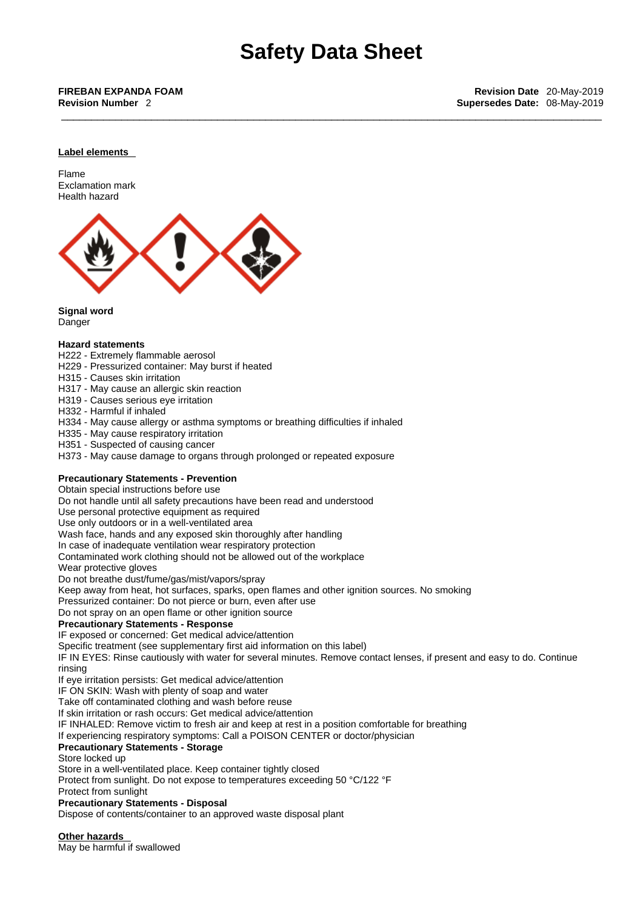#### **Label elements**

Flame Exclamation mark Health hazard



**Signal word**

Danger

#### **Hazard statements**

- H222 Extremely flammable aerosol
- H229 Pressurized container: May burst if heated
- H315 Causes skin irritation
- H317 May cause an allergic skin reaction
- H319 Causes serious eye irritation
- H332 Harmful if inhaled
- H334 May cause allergy or asthma symptoms or breathing difficulties if inhaled
- H335 May cause respiratory irritation
- H351 Suspected of causing cancer
- H373 May cause damage to organs through prolonged or repeated exposure

## **Precautionary Statements - Prevention**

Obtain special instructions before use

Do not handle until all safety precautions have been read and understood

Use personal protective equipment as required

Use only outdoors or in a well-ventilated area

Wash face, hands and any exposed skin thoroughly after handling

In case of inadequate ventilation wear respiratory protection

Contaminated work clothing should not be allowed out of the workplace

Wear protective gloves

Do not breathe dust/fume/gas/mist/vapors/spray

Keep away from heat, hot surfaces, sparks, open flames and other ignition sources. No smoking

Pressurized container: Do not pierce or burn, even after use

Do not spray on an open flame or other ignition source

#### **Precautionary Statements - Response**

IF exposed or concerned: Get medical advice/attention

Specific treatment (see supplementary first aid information on this label)

IF IN EYES: Rinse cautiously with water for several minutes. Remove contact lenses, if present and easy to do. Continue rinsing

If eye irritation persists: Get medical advice/attention

IF ON SKIN: Wash with plenty of soap and water

Take off contaminated clothing and wash before reuse

If skin irritation or rash occurs: Get medical advice/attention

IF INHALED: Remove victim to fresh air and keep at rest in a position comfortable for breathing

If experiencing respiratory symptoms: Call a POISON CENTER or doctor/physician

#### **Precautionary Statements - Storage**

Store locked up

Store in a well-ventilated place. Keep container tightly closed

Protect from sunlight. Do not expose to temperatures exceeding 50 °C/122 °F

Protect from sunlight

**Precautionary Statements - Disposal**

Dispose of contents/container to an approved waste disposal plant

**Other hazards** 

May be harmful if swallowed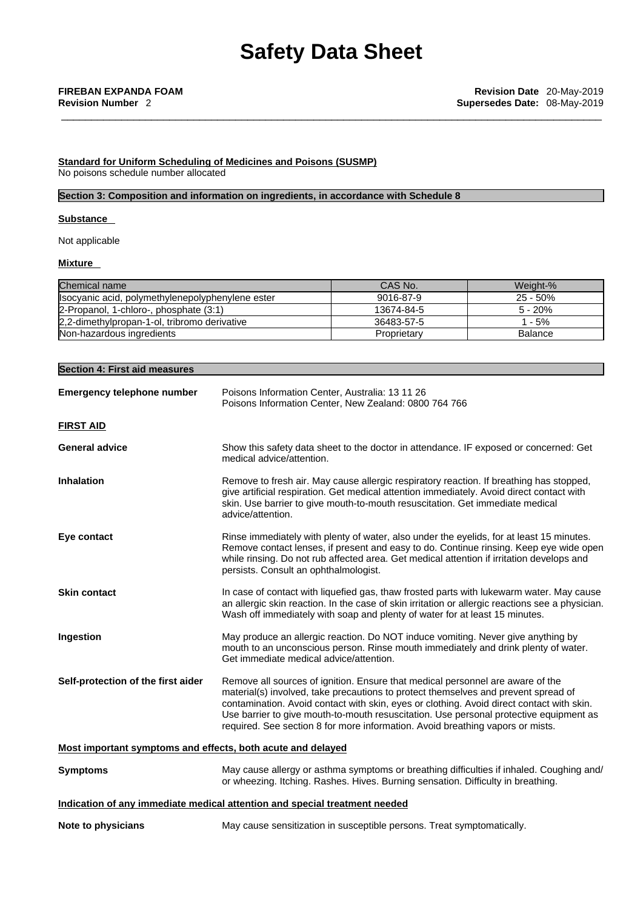### **Standard for Uniform Scheduling of Medicines and Poisons (SUSMP)** No poisons schedule number allocated

## **Section 3: Composition and information on ingredients, in accordance with Schedule 8**

### **Substance**

Not applicable

#### **Mixture**

| Chemical name                                    | CAS No.     | Weight-%    |
|--------------------------------------------------|-------------|-------------|
| Isocyanic acid, polymethylenepolyphenylene ester | 9016-87-9   | $25 - 50\%$ |
| 2-Propanol, 1-chloro-, phosphate (3:1)           | 13674-84-5  | $5 - 20%$   |
| 2.2-dimethylpropan-1-ol, tribromo derivative     | 36483-57-5  | $-5%$       |
| Non-hazardous ingredients                        | Proprietary | Balance     |

| <b>Section 4: First aid measures</b>                        |                                                                                                                                                                                                                                                                                                                                                                                                                                               |  |  |
|-------------------------------------------------------------|-----------------------------------------------------------------------------------------------------------------------------------------------------------------------------------------------------------------------------------------------------------------------------------------------------------------------------------------------------------------------------------------------------------------------------------------------|--|--|
| <b>Emergency telephone number</b>                           | Poisons Information Center, Australia: 13 11 26<br>Poisons Information Center, New Zealand: 0800 764 766                                                                                                                                                                                                                                                                                                                                      |  |  |
| <b>FIRST AID</b>                                            |                                                                                                                                                                                                                                                                                                                                                                                                                                               |  |  |
| <b>General advice</b>                                       | Show this safety data sheet to the doctor in attendance. IF exposed or concerned: Get<br>medical advice/attention.                                                                                                                                                                                                                                                                                                                            |  |  |
| <b>Inhalation</b>                                           | Remove to fresh air. May cause allergic respiratory reaction. If breathing has stopped,<br>give artificial respiration. Get medical attention immediately. Avoid direct contact with<br>skin. Use barrier to give mouth-to-mouth resuscitation. Get immediate medical<br>advice/attention.                                                                                                                                                    |  |  |
| Eye contact                                                 | Rinse immediately with plenty of water, also under the eyelids, for at least 15 minutes.<br>Remove contact lenses, if present and easy to do. Continue rinsing. Keep eye wide open<br>while rinsing. Do not rub affected area. Get medical attention if irritation develops and<br>persists. Consult an ophthalmologist.                                                                                                                      |  |  |
| <b>Skin contact</b>                                         | In case of contact with liquefied gas, thaw frosted parts with lukewarm water. May cause<br>an allergic skin reaction. In the case of skin irritation or allergic reactions see a physician.<br>Wash off immediately with soap and plenty of water for at least 15 minutes.                                                                                                                                                                   |  |  |
| Ingestion                                                   | May produce an allergic reaction. Do NOT induce vomiting. Never give anything by<br>mouth to an unconscious person. Rinse mouth immediately and drink plenty of water.<br>Get immediate medical advice/attention.                                                                                                                                                                                                                             |  |  |
| Self-protection of the first aider                          | Remove all sources of ignition. Ensure that medical personnel are aware of the<br>material(s) involved, take precautions to protect themselves and prevent spread of<br>contamination. Avoid contact with skin, eyes or clothing. Avoid direct contact with skin.<br>Use barrier to give mouth-to-mouth resuscitation. Use personal protective equipment as<br>required. See section 8 for more information. Avoid breathing vapors or mists. |  |  |
| Most important symptoms and effects, both acute and delayed |                                                                                                                                                                                                                                                                                                                                                                                                                                               |  |  |
| <b>Symptoms</b>                                             | May cause allergy or asthma symptoms or breathing difficulties if inhaled. Coughing and/<br>or wheezing. Itching. Rashes. Hives. Burning sensation. Difficulty in breathing.                                                                                                                                                                                                                                                                  |  |  |
|                                                             | Indication of any immediate medical attention and special treatment needed                                                                                                                                                                                                                                                                                                                                                                    |  |  |
| Note to physicians                                          | May cause sensitization in susceptible persons. Treat symptomatically.                                                                                                                                                                                                                                                                                                                                                                        |  |  |
|                                                             |                                                                                                                                                                                                                                                                                                                                                                                                                                               |  |  |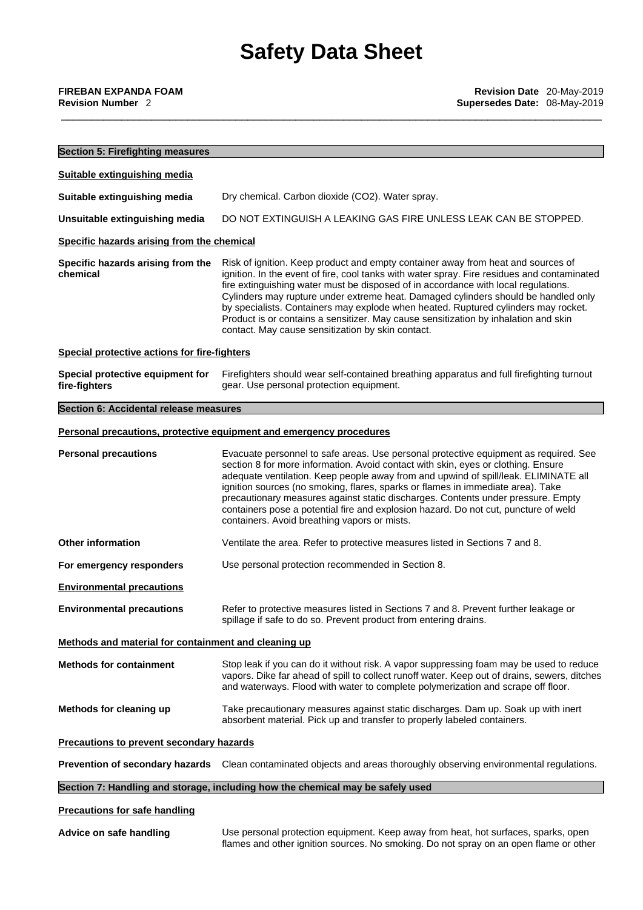| <b>Section 5: Firefighting measures</b>              |                                                                                                                                                                                                                                                                                                                                                                                                                                                                                                                                                                                               |  |  |  |
|------------------------------------------------------|-----------------------------------------------------------------------------------------------------------------------------------------------------------------------------------------------------------------------------------------------------------------------------------------------------------------------------------------------------------------------------------------------------------------------------------------------------------------------------------------------------------------------------------------------------------------------------------------------|--|--|--|
| Suitable extinguishing media                         |                                                                                                                                                                                                                                                                                                                                                                                                                                                                                                                                                                                               |  |  |  |
| Suitable extinguishing media                         | Dry chemical. Carbon dioxide (CO2). Water spray.                                                                                                                                                                                                                                                                                                                                                                                                                                                                                                                                              |  |  |  |
| Unsuitable extinguishing media                       | DO NOT EXTINGUISH A LEAKING GAS FIRE UNLESS LEAK CAN BE STOPPED.                                                                                                                                                                                                                                                                                                                                                                                                                                                                                                                              |  |  |  |
| Specific hazards arising from the chemical           |                                                                                                                                                                                                                                                                                                                                                                                                                                                                                                                                                                                               |  |  |  |
| Specific hazards arising from the<br>chemical        | Risk of ignition. Keep product and empty container away from heat and sources of<br>ignition. In the event of fire, cool tanks with water spray. Fire residues and contaminated<br>fire extinguishing water must be disposed of in accordance with local regulations.<br>Cylinders may rupture under extreme heat. Damaged cylinders should be handled only<br>by specialists. Containers may explode when heated. Ruptured cylinders may rocket.<br>Product is or contains a sensitizer. May cause sensitization by inhalation and skin<br>contact. May cause sensitization by skin contact. |  |  |  |
| Special protective actions for fire-fighters         |                                                                                                                                                                                                                                                                                                                                                                                                                                                                                                                                                                                               |  |  |  |
| Special protective equipment for<br>fire-fighters    | Firefighters should wear self-contained breathing apparatus and full firefighting turnout<br>gear. Use personal protection equipment.                                                                                                                                                                                                                                                                                                                                                                                                                                                         |  |  |  |
| Section 6: Accidental release measures               |                                                                                                                                                                                                                                                                                                                                                                                                                                                                                                                                                                                               |  |  |  |
|                                                      | Personal precautions, protective equipment and emergency procedures                                                                                                                                                                                                                                                                                                                                                                                                                                                                                                                           |  |  |  |
| <b>Personal precautions</b>                          | Evacuate personnel to safe areas. Use personal protective equipment as required. See<br>section 8 for more information. Avoid contact with skin, eyes or clothing. Ensure<br>adequate ventilation. Keep people away from and upwind of spill/leak. ELIMINATE all<br>ignition sources (no smoking, flares, sparks or flames in immediate area). Take<br>precautionary measures against static discharges. Contents under pressure. Empty<br>containers pose a potential fire and explosion hazard. Do not cut, puncture of weld<br>containers. Avoid breathing vapors or mists.                |  |  |  |
| <b>Other information</b>                             | Ventilate the area. Refer to protective measures listed in Sections 7 and 8.                                                                                                                                                                                                                                                                                                                                                                                                                                                                                                                  |  |  |  |
| For emergency responders                             | Use personal protection recommended in Section 8.                                                                                                                                                                                                                                                                                                                                                                                                                                                                                                                                             |  |  |  |
| <b>Environmental precautions</b>                     |                                                                                                                                                                                                                                                                                                                                                                                                                                                                                                                                                                                               |  |  |  |
| <b>Environmental precautions</b>                     | Refer to protective measures listed in Sections 7 and 8. Prevent further leakage or<br>spillage if safe to do so. Prevent product from entering drains.                                                                                                                                                                                                                                                                                                                                                                                                                                       |  |  |  |
| Methods and material for containment and cleaning up |                                                                                                                                                                                                                                                                                                                                                                                                                                                                                                                                                                                               |  |  |  |
| <b>Methods for containment</b>                       | Stop leak if you can do it without risk. A vapor suppressing foam may be used to reduce<br>vapors. Dike far ahead of spill to collect runoff water. Keep out of drains, sewers, ditches<br>and waterways. Flood with water to complete polymerization and scrape off floor.                                                                                                                                                                                                                                                                                                                   |  |  |  |
| Methods for cleaning up                              | Take precautionary measures against static discharges. Dam up. Soak up with inert<br>absorbent material. Pick up and transfer to properly labeled containers.                                                                                                                                                                                                                                                                                                                                                                                                                                 |  |  |  |
| Precautions to prevent secondary hazards             |                                                                                                                                                                                                                                                                                                                                                                                                                                                                                                                                                                                               |  |  |  |
|                                                      |                                                                                                                                                                                                                                                                                                                                                                                                                                                                                                                                                                                               |  |  |  |
|                                                      | Prevention of secondary hazards Clean contaminated objects and areas thoroughly observing environmental regulations.                                                                                                                                                                                                                                                                                                                                                                                                                                                                          |  |  |  |

**Advice on safe handling** Use personal protection equipment. Keep away from heat, hot surfaces, sparks, open flames and other ignition sources. No smoking. Do not spray on an open flame or other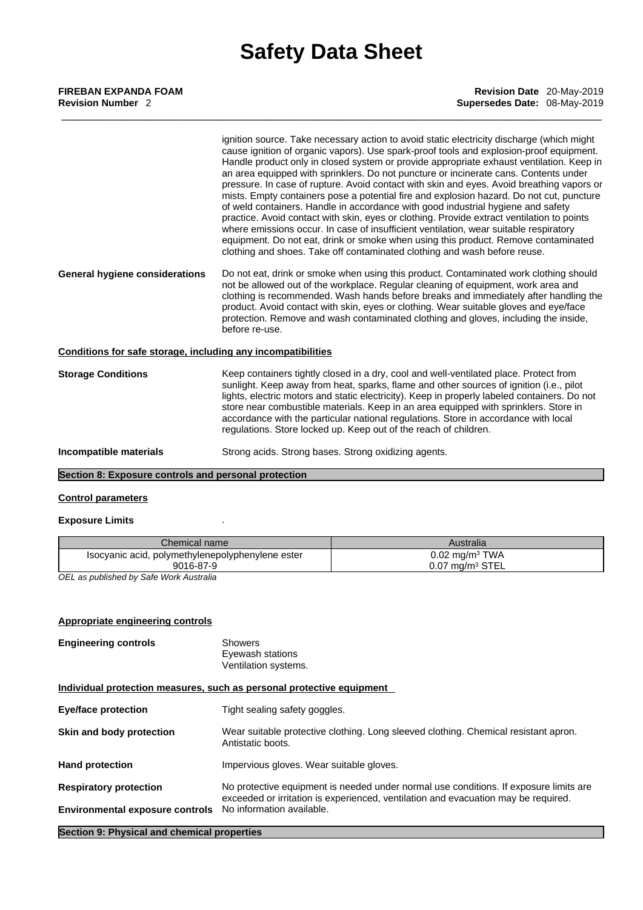| FIREBAN EXPANDA FOAM     |  |  |
|--------------------------|--|--|
| <b>Revision Number 2</b> |  |  |

|                                                              | ignition source. Take necessary action to avoid static electricity discharge (which might<br>cause ignition of organic vapors). Use spark-proof tools and explosion-proof equipment.<br>Handle product only in closed system or provide appropriate exhaust ventilation. Keep in<br>an area equipped with sprinklers. Do not puncture or incinerate cans. Contents under<br>pressure. In case of rupture. Avoid contact with skin and eyes. Avoid breathing vapors or<br>mists. Empty containers pose a potential fire and explosion hazard. Do not cut, puncture<br>of weld containers. Handle in accordance with good industrial hygiene and safety<br>practice. Avoid contact with skin, eyes or clothing. Provide extract ventilation to points<br>where emissions occur. In case of insufficient ventilation, wear suitable respiratory<br>equipment. Do not eat, drink or smoke when using this product. Remove contaminated<br>clothing and shoes. Take off contaminated clothing and wash before reuse. |
|--------------------------------------------------------------|-----------------------------------------------------------------------------------------------------------------------------------------------------------------------------------------------------------------------------------------------------------------------------------------------------------------------------------------------------------------------------------------------------------------------------------------------------------------------------------------------------------------------------------------------------------------------------------------------------------------------------------------------------------------------------------------------------------------------------------------------------------------------------------------------------------------------------------------------------------------------------------------------------------------------------------------------------------------------------------------------------------------|
| General hygiene considerations                               | Do not eat, drink or smoke when using this product. Contaminated work clothing should<br>not be allowed out of the workplace. Regular cleaning of equipment, work area and<br>clothing is recommended. Wash hands before breaks and immediately after handling the<br>product. Avoid contact with skin, eyes or clothing. Wear suitable gloves and eye/face<br>protection. Remove and wash contaminated clothing and gloves, including the inside,<br>before re-use.                                                                                                                                                                                                                                                                                                                                                                                                                                                                                                                                            |
| Conditions for safe storage, including any incompatibilities |                                                                                                                                                                                                                                                                                                                                                                                                                                                                                                                                                                                                                                                                                                                                                                                                                                                                                                                                                                                                                 |
| <b>Storage Conditions</b>                                    | Keep containers tightly closed in a dry, cool and well-ventilated place. Protect from<br>sunlight. Keep away from heat, sparks, flame and other sources of ignition (i.e., pilot<br>lights, electric motors and static electricity). Keep in properly labeled containers. Do not<br>store near combustible materials. Keep in an area equipped with sprinklers. Store in<br>accordance with the particular national regulations. Store in accordance with local<br>regulations. Store locked up. Keep out of the reach of children.                                                                                                                                                                                                                                                                                                                                                                                                                                                                             |
| واوزروعهم والمانهم وموجودا                                   | Ctropa poide. Ctropa bosse, Ctropa ovidizing egente                                                                                                                                                                                                                                                                                                                                                                                                                                                                                                                                                                                                                                                                                                                                                                                                                                                                                                                                                             |

**Incompatible materials** Strong acids. Strong bases. Strong oxidizing agents.

# **Section 8: Exposure controls and personal protection**

### **Control parameters**

### **Exposure Limits** .

| Chemical name l                                                                                                                                | Australia                    |
|------------------------------------------------------------------------------------------------------------------------------------------------|------------------------------|
| Isocyanic acid, polymethylenepolyphenylene ester                                                                                               | $0.02$ mg/m <sup>3</sup> TWA |
| 9016-87-9                                                                                                                                      | $0.07$ mg/m $3$ STEL         |
| $\bigcap_{i=1}^n$ , and $i=1,2,3,4,5, \dots$ $\bigcap_{i=1}^n$ , $\bigcap_{i=1}^n$ , $\bigcap_{i=1}^n$ , $\bigcap_{i=1}^n$ , $\bigcap_{i=1}^n$ |                              |

*OEL as published by Safe Work Australia* 

## **Appropriate engineering controls**

| <b>Engineering controls</b>            | Showers<br>Eyewash stations<br>Ventilation systems.                                                                                                                         |
|----------------------------------------|-----------------------------------------------------------------------------------------------------------------------------------------------------------------------------|
|                                        | Individual protection measures, such as personal protective equipment                                                                                                       |
| Eye/face protection                    | Tight sealing safety goggles.                                                                                                                                               |
| Skin and body protection               | Wear suitable protective clothing. Long sleeved clothing. Chemical resistant apron.<br>Antistatic boots.                                                                    |
| <b>Hand protection</b>                 | Impervious gloves. Wear suitable gloves.                                                                                                                                    |
| <b>Respiratory protection</b>          | No protective equipment is needed under normal use conditions. If exposure limits are<br>exceeded or irritation is experienced, ventilation and evacuation may be required. |
| <b>Environmental exposure controls</b> | No information available.                                                                                                                                                   |
|                                        |                                                                                                                                                                             |

**Section 9: Physical and chemical properties**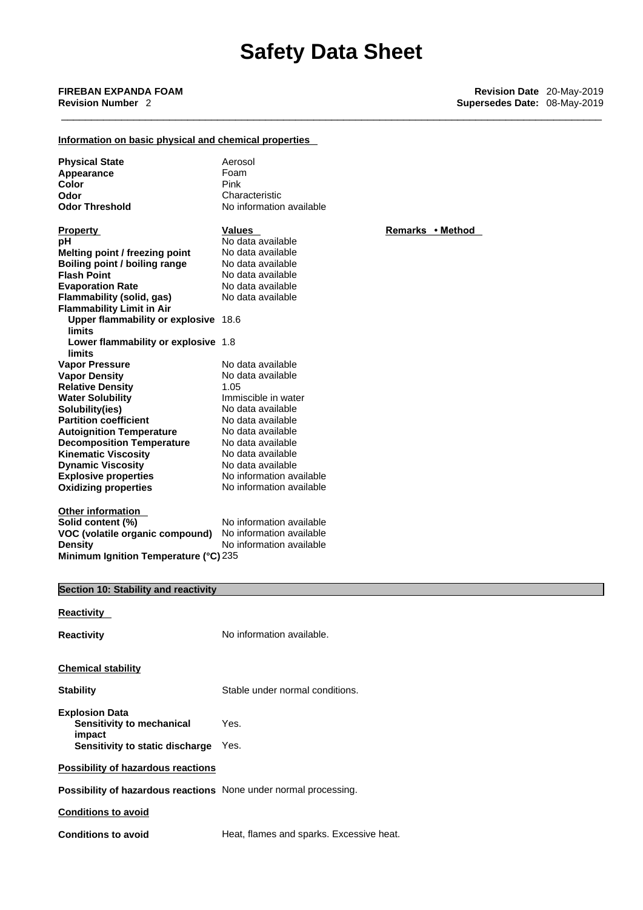# **Information on basic physical and chemical properties**

| <b>Physical State</b><br>Appearance<br>Color<br>Odor<br><b>Odor Threshold</b>               | Aerosol<br>Foam<br>Pink<br>Characteristic<br>No information available            |                  |
|---------------------------------------------------------------------------------------------|----------------------------------------------------------------------------------|------------------|
|                                                                                             |                                                                                  |                  |
| <b>Property</b><br>рH                                                                       | <b>Values</b><br>No data available                                               | Remarks • Method |
| Melting point / freezing point                                                              | No data available                                                                |                  |
| Boiling point / boiling range<br><b>Flash Point</b>                                         | No data available<br>No data available                                           |                  |
| <b>Evaporation Rate</b>                                                                     | No data available                                                                |                  |
| Flammability (solid, gas)                                                                   | No data available                                                                |                  |
| <b>Flammability Limit in Air</b>                                                            |                                                                                  |                  |
| Upper flammability or explosive 18.6<br>limits                                              |                                                                                  |                  |
| Lower flammability or explosive 1.8<br>limits                                               |                                                                                  |                  |
| <b>Vapor Pressure</b>                                                                       | No data available                                                                |                  |
| <b>Vapor Density</b>                                                                        | No data available                                                                |                  |
| <b>Relative Density</b>                                                                     | 1.05                                                                             |                  |
| <b>Water Solubility</b>                                                                     | Immiscible in water                                                              |                  |
| Solubility(ies)<br><b>Partition coefficient</b>                                             | No data available<br>No data available                                           |                  |
| <b>Autoignition Temperature</b>                                                             | No data available                                                                |                  |
| <b>Decomposition Temperature</b>                                                            | No data available                                                                |                  |
| <b>Kinematic Viscosity</b>                                                                  | No data available                                                                |                  |
| <b>Dynamic Viscosity</b>                                                                    | No data available                                                                |                  |
| <b>Explosive properties</b><br><b>Oxidizing properties</b>                                  | No information available<br>No information available                             |                  |
|                                                                                             |                                                                                  |                  |
| Other information<br>Solid content (%)<br>VOC (volatile organic compound)<br><b>Density</b> | No information available<br>No information available<br>No information available |                  |
| Minimum Ignition Temperature (°C) 235                                                       |                                                                                  |                  |
|                                                                                             |                                                                                  |                  |
| Section 10: Stability and reactivity                                                        |                                                                                  |                  |
| Reactivity                                                                                  |                                                                                  |                  |
| Reactivity                                                                                  | No information available.                                                        |                  |
|                                                                                             |                                                                                  |                  |
| <b>Chemical stability</b>                                                                   |                                                                                  |                  |
| <b>Stability</b>                                                                            | Stable under normal conditions.                                                  |                  |
| <b>Explosion Data</b><br>Sensitivity to mechanical<br>impact                                | Yes.                                                                             |                  |
| Sensitivity to static discharge                                                             | Yes.                                                                             |                  |
| <b>Possibility of hazardous reactions</b>                                                   |                                                                                  |                  |
| Possibility of hazardous reactions None under normal processing.                            |                                                                                  |                  |
| <b>Conditions to avoid</b>                                                                  |                                                                                  |                  |
| <b>Conditions to avoid</b>                                                                  | Heat, flames and sparks. Excessive heat.                                         |                  |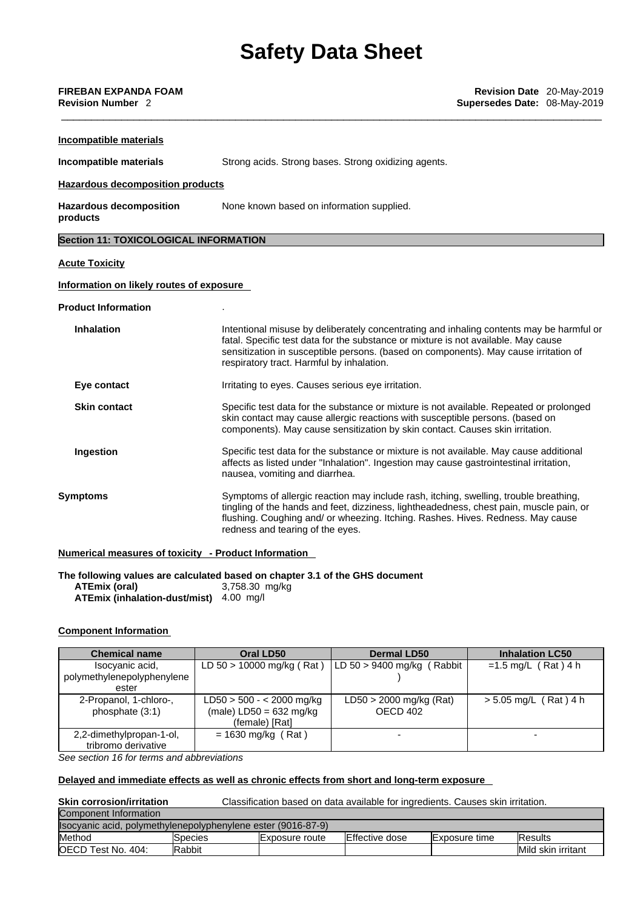| Strong acids. Strong bases. Strong oxidizing agents.                                                                                                                                                                                                                                                                |  |  |  |
|---------------------------------------------------------------------------------------------------------------------------------------------------------------------------------------------------------------------------------------------------------------------------------------------------------------------|--|--|--|
| <b>Hazardous decomposition products</b>                                                                                                                                                                                                                                                                             |  |  |  |
| None known based on information supplied.                                                                                                                                                                                                                                                                           |  |  |  |
| Section 11: TOXICOLOGICAL INFORMATION                                                                                                                                                                                                                                                                               |  |  |  |
|                                                                                                                                                                                                                                                                                                                     |  |  |  |
| Information on likely routes of exposure                                                                                                                                                                                                                                                                            |  |  |  |
|                                                                                                                                                                                                                                                                                                                     |  |  |  |
| Intentional misuse by deliberately concentrating and inhaling contents may be harmful or<br>fatal. Specific test data for the substance or mixture is not available. May cause<br>sensitization in susceptible persons. (based on components). May cause irritation of<br>respiratory tract. Harmful by inhalation. |  |  |  |
| Irritating to eyes. Causes serious eye irritation.                                                                                                                                                                                                                                                                  |  |  |  |
| Specific test data for the substance or mixture is not available. Repeated or prolonged<br>skin contact may cause allergic reactions with susceptible persons. (based on<br>components). May cause sensitization by skin contact. Causes skin irritation.                                                           |  |  |  |
| Specific test data for the substance or mixture is not available. May cause additional<br>affects as listed under "Inhalation". Ingestion may cause gastrointestinal irritation,<br>nausea, vomiting and diarrhea.                                                                                                  |  |  |  |
| Symptoms of allergic reaction may include rash, itching, swelling, trouble breathing,<br>tingling of the hands and feet, dizziness, lightheadedness, chest pain, muscle pain, or<br>flushing. Coughing and/ or wheezing. Itching. Rashes. Hives. Redness. May cause<br>redness and tearing of the eyes.             |  |  |  |
|                                                                                                                                                                                                                                                                                                                     |  |  |  |

**The following values are calculated based on chapter 3.1 of the GHS document**

**ATEmix (oral)** 3,758.30 mg/kg **ATEmix (inhalation-dust/mist)** 4.00 mg/l

## **Component Information**

| <b>Chemical name</b>       | <b>Oral LD50</b>            | <b>Dermal LD50</b>           | <b>Inhalation LC50</b>  |
|----------------------------|-----------------------------|------------------------------|-------------------------|
| Isocyanic acid,            | LD $50 > 10000$ mg/kg (Rat) | LD $50 > 9400$ mg/kg (Rabbit | $=1.5$ mg/L (Rat) 4 h   |
| polymethylenepolyphenylene |                             |                              |                         |
| ester                      |                             |                              |                         |
| 2-Propanol, 1-chloro-,     | $LD50 > 500 - < 2000$ mg/kg | $LD50 > 2000$ mg/kg (Rat)    | $> 5.05$ mg/L (Rat) 4 h |
| phosphate (3:1)            | $(male)$ LD50 = 632 mg/kg   | OECD 402                     |                         |
|                            | (female) [Rat]              |                              |                         |
| 2,2-dimethylpropan-1-ol,   | $= 1630$ mg/kg (Rat)        | $\overline{\phantom{0}}$     |                         |
| tribromo derivative        |                             |                              |                         |

*See section 16 for terms and abbreviations* 

## **Delayed and immediate effects as well as chronic effects from short and long-term exposure**

# **Skin corrosion/irritation**

**Classification based on data available for ingredients. Causes skin irritation.** 

| Component Information                                        |                |                       |                |                      |                         |
|--------------------------------------------------------------|----------------|-----------------------|----------------|----------------------|-------------------------|
| Isocyanic acid, polymethylenepolyphenylene ester (9016-87-9) |                |                       |                |                      |                         |
| Method                                                       | <b>Species</b> | <b>Exposure route</b> | Effective dose | <b>Exposure time</b> | IResults                |
| <b>OECD Test No.</b><br>404:                                 | Rabbit         |                       |                |                      | Mild<br>l skin irritant |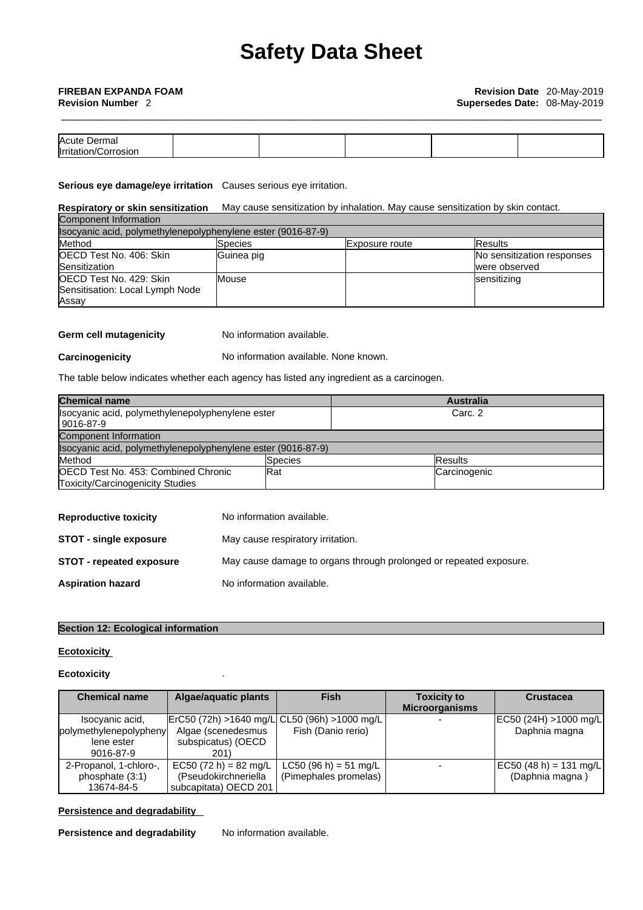| Acute<br>mai<br>Jer             |  |  |  |
|---------------------------------|--|--|--|
| <b>I</b> rritatio<br>osior<br>. |  |  |  |

**Serious eye damage/eye irritation** Causes serious eye irritation.

#### **Respiratory or skin sensitization** May cause sensitization by inhalation. May cause sensitization by skin contact. Component Information

| Isocyanic acid, polymethylenepolyphenylene ester (9016-87-9) |            |                |                            |  |
|--------------------------------------------------------------|------------|----------------|----------------------------|--|
| Method                                                       | Species    | Exposure route | <b>Results</b>             |  |
| OECD Test No. 406: Skin                                      | Guinea pig |                | No sensitization responses |  |
| Sensitization                                                |            |                | were observed              |  |
| OECD Test No. 429: Skin                                      | Mouse      |                | sensitizing                |  |
| Sensitisation: Local Lymph Node                              |            |                |                            |  |
| Assav                                                        |            |                |                            |  |

## **Germ cell mutagenicity** No information available.

**Carcinogenicity** No information available. None known.

The table below indicates whether each agency has listed any ingredient as a carcinogen.

| <b>Chemical name</b>                                         |                 |         | <b>Australia</b> |
|--------------------------------------------------------------|-----------------|---------|------------------|
| Isocyanic acid, polymethylenepolyphenylene ester             |                 | Carc. 2 |                  |
| 9016-87-9                                                    |                 |         |                  |
| Component Information                                        |                 |         |                  |
| Isocyanic acid, polymethylenepolyphenylene ester (9016-87-9) |                 |         |                  |
| Method                                                       | <b>S</b> pecies |         | <b>Results</b>   |
| <b>IOECD Test No. 453: Combined Chronic</b><br><b>Rat</b>    |                 |         | Carcinogenic     |
| <b>Toxicity/Carcinogenicity Studies</b>                      |                 |         |                  |

| <b>Reproductive toxicity</b>    | No information available.                                          |
|---------------------------------|--------------------------------------------------------------------|
| <b>STOT - single exposure</b>   | May cause respiratory irritation.                                  |
| <b>STOT - repeated exposure</b> | May cause damage to organs through prolonged or repeated exposure. |
| <b>Aspiration hazard</b>        | No information available.                                          |

## **Section 12: Ecological information**

## **Ecotoxicity**

## **Ecotoxicity** .

| <b>Chemical name</b>   | Algae/aguatic plants                         | <b>Fish</b>           | <b>Toxicity to</b>    | <b>Crustacea</b>       |
|------------------------|----------------------------------------------|-----------------------|-----------------------|------------------------|
|                        |                                              |                       | <b>Microorganisms</b> |                        |
| Isocyanic acid,        | ErC50 (72h) >1640 mg/L CL50 (96h) >1000 mg/L |                       |                       | [EC50 (24H) >1000 mg/L |
| polymethylenepolypheny | Algae (scenedesmus                           | Fish (Danio rerio)    |                       | Daphnia magna          |
| lene ester             | subspicatus) (OECD                           |                       |                       |                        |
| 9016-87-9              | 201)                                         |                       |                       |                        |
| 2-Propanol, 1-chloro-, | $EC50 (72 h) = 82 mg/L$                      | LC50 (96 h) = 51 mg/L |                       | EC50 (48 h) = 131 mg/L |
| phosphate (3:1)        | (Pseudokirchneriella                         | (Pimephales promelas) |                       | (Daphnia magna)        |
| 13674-84-5             | subcapitata) OECD 201                        |                       |                       |                        |

## **Persistence and degradability**

**Persistence and degradability** No information available.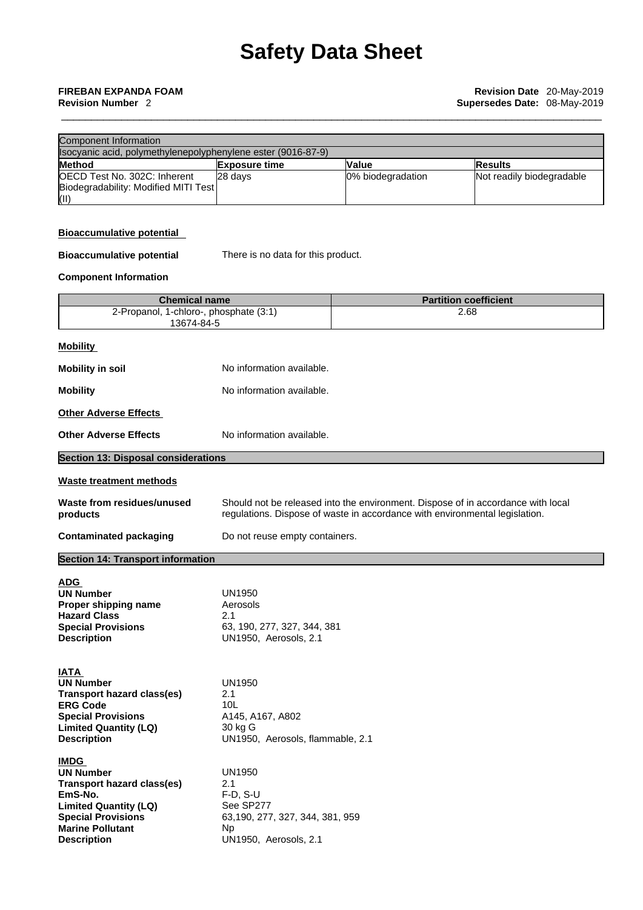#### **Revision Number** 2 **Supersedes Date:** 08-May-2019

| Component Information                                        |                      |                   |                           |
|--------------------------------------------------------------|----------------------|-------------------|---------------------------|
| Isocyanic acid, polymethylenepolyphenylene ester (9016-87-9) |                      |                   |                           |
| <b>Method</b>                                                | <b>Exposure time</b> | <b>Value</b>      | <b>Results</b>            |
| OECD Test No. 302C: Inherent                                 | 28 davs              | 0% biodegradation | Not readily biodegradable |
| Biodegradability: Modified MITI Test                         |                      |                   |                           |
| Œ                                                            |                      |                   |                           |

### **Bioaccumulative potential**

**Bioaccumulative potential** There is no data for this product.

## **Component Information**

| <b>Chemical name</b>                   | <b>Partition coefficient</b> |
|----------------------------------------|------------------------------|
| 2-Propanol, 1-chloro-, phosphate (3:1) | 2.68                         |
| 13674-84-5                             |                              |

| Mobility              |                           |
|-----------------------|---------------------------|
| Mobility in soil      | No information available. |
| Mobility              | No information available. |
| Other Adverse Effects |                           |

**Other Adverse Effects** No information available.

| <b>Section 13: Disposal considerations</b>                                                                                                                                             |                                                                                                                                                                 |
|----------------------------------------------------------------------------------------------------------------------------------------------------------------------------------------|-----------------------------------------------------------------------------------------------------------------------------------------------------------------|
| <b>Waste treatment methods</b>                                                                                                                                                         |                                                                                                                                                                 |
| Waste from residues/unused<br>products                                                                                                                                                 | Should not be released into the environment. Dispose of in accordance with local<br>regulations. Dispose of waste in accordance with environmental legislation. |
| <b>Contaminated packaging</b>                                                                                                                                                          | Do not reuse empty containers.                                                                                                                                  |
| <b>Section 14: Transport information</b>                                                                                                                                               |                                                                                                                                                                 |
| <b>ADG</b><br><b>UN Number</b><br>Proper shipping name<br><b>Hazard Class</b><br><b>Special Provisions</b><br><b>Description</b>                                                       | <b>UN1950</b><br>Aerosols<br>2.1<br>63, 190, 277, 327, 344, 381<br>UN1950, Aerosols, 2.1                                                                        |
| <b>IATA</b><br><b>UN Number</b><br><b>Transport hazard class(es)</b><br><b>ERG Code</b><br><b>Special Provisions</b><br><b>Limited Quantity (LQ)</b><br><b>Description</b>             | <b>UN1950</b><br>2.1<br>10 <sub>L</sub><br>A145, A167, A802<br>30 kg G<br>UN1950, Aerosols, flammable, 2.1                                                      |
| <b>IMDG</b><br><b>UN Number</b><br>Transport hazard class(es)<br>EmS-No.<br><b>Limited Quantity (LQ)</b><br><b>Special Provisions</b><br><b>Marine Pollutant</b><br><b>Description</b> | <b>UN1950</b><br>2.1<br>$F-D, S-U$<br>See SP277<br>63,190, 277, 327, 344, 381, 959<br><b>Np</b><br>UN1950, Aerosols, 2.1                                        |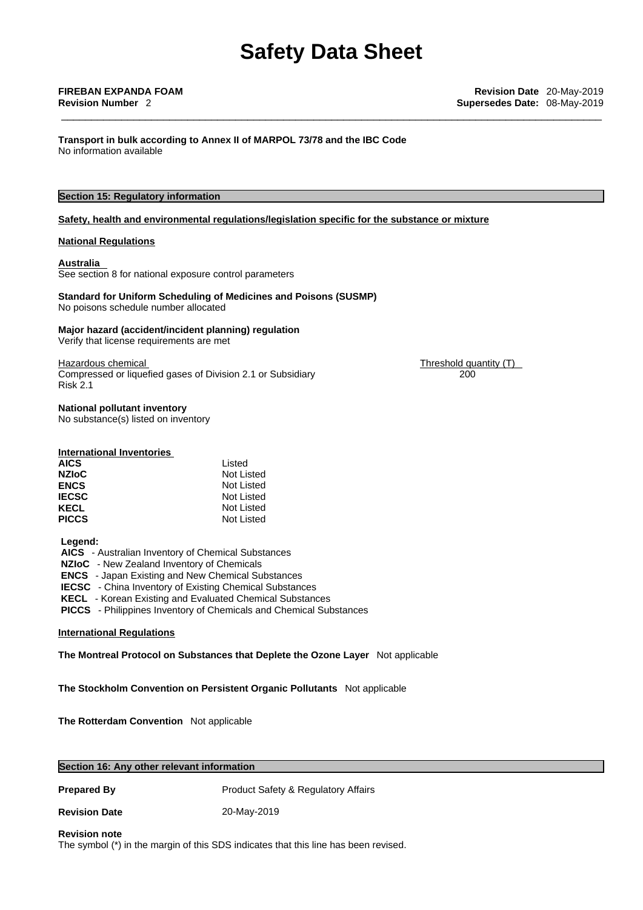**Transport in bulk according to Annex II ofMARPOL 73/78 and the IBC Code** No information available

## **Section 15: Regulatory information**

### **Safety, health and environmental regulations/legislation specific for the substance or mixture**

#### **National Regulations**

#### **Australia**

See section 8 for national exposure control parameters

## **Standard for Uniform Scheduling of Medicines and Poisons (SUSMP)**

No poisons schedule number allocated

#### **Major hazard (accident/incident planning) regulation**

Verify that license requirements are met

Compressed or liquefied gases of Division 2.1 or Subsidiary Risk 2.1

Hazardous chemical Threshold quantity (T) 200

# **National pollutant inventory**

No substance(s) listed on inventory

#### **International Inventories**

| Listed     |
|------------|
| Not Listed |
| Not Listed |
| Not Listed |
| Not Listed |
| Not Listed |
|            |

#### **Legend:**

 **AICS** - Australian Inventory of Chemical Substances

 **NZIoC** - New Zealand Inventory of Chemicals

 **ENCS** - Japan Existing and New Chemical Substances

**IECSC** - China Inventory of Existing Chemical Substances

 **KECL** - Korean Existing and Evaluated Chemical Substances

 **PICCS** - Philippines Inventory of Chemicals and Chemical Substances

#### **International Regulations**

**The Montreal Protocol on Substances that Deplete the Ozone Layer** Not applicable

**The Stockholm Convention on Persistent Organic Pollutants** Not applicable

**The Rotterdam Convention** Not applicable

| Section 16: Any other relevant information |                                                |  |  |  |
|--------------------------------------------|------------------------------------------------|--|--|--|
| <b>Prepared By</b>                         | <b>Product Safety &amp; Regulatory Affairs</b> |  |  |  |
| <b>Revision Date</b>                       | 20-May-2019                                    |  |  |  |
| <b>Revision note</b>                       |                                                |  |  |  |

The symbol (\*) in the margin of this SDS indicates that this line has been revised.